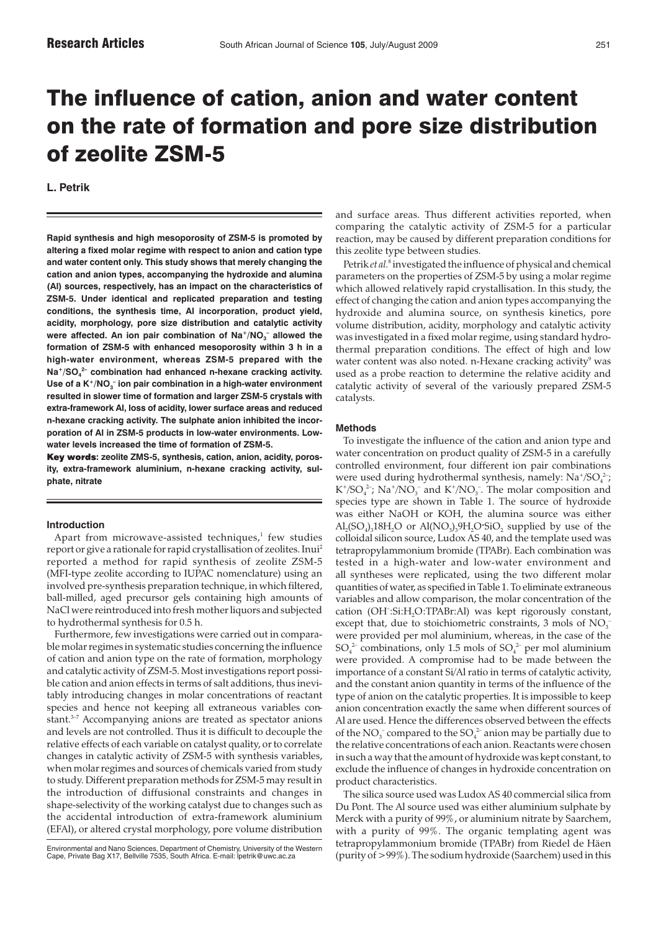# The influence of cation, anion and water content on the rate of formation and pore size distribution of zeolite ZSM-5

**L. Petrik**

**Rapid synthesis and high mesoporosity of ZSM-5 is promoted by altering a fixed molar regime with respect to anion and cation type and water content only. This study shows that merely changing the cation and anion types, accompanying the hydroxide and alumina (Al) sources, respectively, has an impact on the characteristics of ZSM-5. Under identical and replicated preparation and testing conditions, the synthesis time, Al incorporation, product yield, acidity, morphology, pore size distribution and catalytic activity** were affected. An ion pair combination of Na<sup>+</sup>/NO<sub>3</sub><sup>-</sup> allowed the **formation of ZSM-5 with enhanced mesoporosity within 3 h in a high-water environment, whereas ZSM-5 prepared with the Na+/SO4 2– combination had enhanced n-hexane cracking activity.** Use of a K<sup>+</sup>/NO<sub>3</sub> ion pair combination in a high-water environment **resulted in slower time of formation and larger ZSM-5 crystals with extra-framework Al, loss of acidity, lower surface areas and reduced n-hexane cracking activity. The sulphate anion inhibited the incorporation of Al in ZSM-5 products in low-water environments. Lowwater levels increased the time of formation of ZSM-5.**

**Key words: zeolite ZMS-5, synthesis, cation, anion, acidity, porosity, extra-framework aluminium, n-hexane cracking activity, sulphate, nitrate**

# **Introduction**

Apart from microwave-assisted techniques, $1$  few studies report or give a rationale for rapid crystallisation of zeolites. Inui2 reported a method for rapid synthesis of zeolite ZSM-5 (MFI-type zeolite according to IUPAC nomenclature) using an involved pre-synthesis preparation technique, in which filtered, ball-milled, aged precursor gels containing high amounts of NaCl were reintroduced into fresh mother liquors and subjected to hydrothermal synthesis for 0.5 h.

Furthermore, few investigations were carried out in comparable molar regimes in systematic studies concerning the influence of cation and anion type on the rate of formation, morphology and catalytic activity of ZSM-5. Most investigations report possible cation and anion effects in terms of salt additions, thus inevitably introducing changes in molar concentrations of reactant species and hence not keeping all extraneous variables constant.<sup>3-7</sup> Accompanying anions are treated as spectator anions and levels are not controlled. Thus it is difficult to decouple the relative effects of each variable on catalyst quality, or to correlate changes in catalytic activity of ZSM-5 with synthesis variables, when molar regimes and sources of chemicals varied from study to study. Different preparation methods for ZSM-5 may result in the introduction of diffusional constraints and changes in shape-selectivity of the working catalyst due to changes such as the accidental introduction of extra-framework aluminium (EFAl), or altered crystal morphology, pore volume distribution

Environmental and Nano Sciences, Department of Chemistry, University of the Western Cape, Private Bag X17, Bellville 7535, South Africa. E-mail: lpetrik@uwc.ac.za

and surface areas. Thus different activities reported, when comparing the catalytic activity of ZSM-5 for a particular reaction, may be caused by different preparation conditions for this zeolite type between studies.

Petrik *et al.*<sup>8</sup> investigated the influence of physical and chemical parameters on the properties of ZSM-5 by using a molar regime which allowed relatively rapid crystallisation. In this study, the effect of changing the cation and anion types accompanying the hydroxide and alumina source, on synthesis kinetics, pore volume distribution, acidity, morphology and catalytic activity was investigated in a fixed molar regime, using standard hydrothermal preparation conditions. The effect of high and low water content was also noted. n-Hexane cracking activity<sup>9</sup> was used as a probe reaction to determine the relative acidity and catalytic activity of several of the variously prepared ZSM-5 catalysts.

## **Methods**

To investigate the influence of the cation and anion type and water concentration on product quality of ZSM-5 in a carefully controlled environment, four different ion pair combinations were used during hydrothermal synthesis, namely:  $\mathrm{Na^+/SO}_4^2$ ;  $K^{\dagger}/SO_4^{\,2-}$ ; Na<sup>+</sup>/NO<sub>3</sub><sup>-</sup> and  $K^{\dagger}/NO_3^{\,2}$ . The molar composition and species type are shown in Table 1. The source of hydroxide was either NaOH or KOH, the alumina source was either Al<sub>2</sub>(SO<sub>4</sub>)<sub>3</sub>18H<sub>2</sub>O or Al(NO<sub>3</sub>)<sub>3</sub>9H<sub>2</sub>O·SiO<sub>2</sub> supplied by use of the colloidal silicon source, Ludox AS 40, and the template used was tetrapropylammonium bromide (TPABr). Each combination was tested in a high-water and low-water environment and all syntheses were replicated, using the two different molar quantities of water, as specified in Table 1. To eliminate extraneous variables and allow comparison, the molar concentration of the cation (OH<sup>-</sup>:Si:H<sub>2</sub>O:TPABr:Al) was kept rigorously constant, except that, due to stoichiometric constraints, 3 mols of  $NO<sub>3</sub>$ <sup>-</sup> were provided per mol aluminium, whereas, in the case of the  $\mathrm{SO}_4^2$  combinations, only 1.5 mols of  $\mathrm{SO}_4^2$  per mol aluminium were provided. A compromise had to be made between the importance of a constant Si/Al ratio in terms of catalytic activity, and the constant anion quantity in terms of the influence of the type of anion on the catalytic properties. It is impossible to keep anion concentration exactly the same when different sources of Al are used. Hence the differences observed between the effects of the  $NO_3^-$  compared to the  $SO_4^{2-}$  anion may be partially due to the relative concentrations of each anion. Reactants were chosen in such a way that the amount of hydroxide was kept constant, to exclude the influence of changes in hydroxide concentration on product characteristics.

The silica source used was Ludox AS 40 commercial silica from Du Pont. The Al source used was either aluminium sulphate by Merck with a purity of 99%, or aluminium nitrate by Saarchem, with a purity of 99%. The organic templating agent was tetrapropylammonium bromide (TPABr) from Riedel de Häen (purity of >99%). The sodium hydroxide (Saarchem) used in this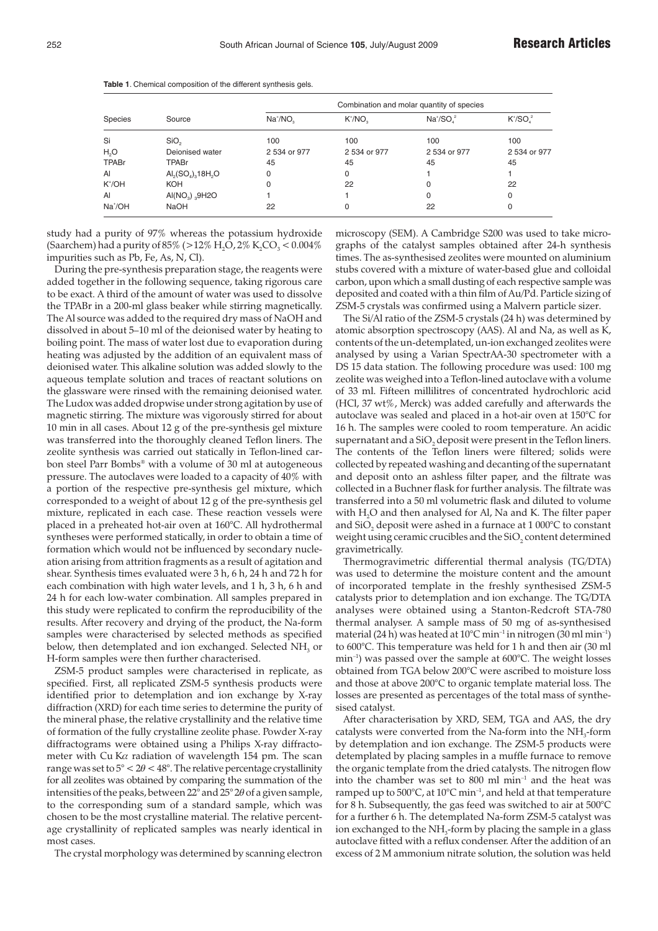| Species            | Source                                             | Combination and molar quantity of species |              |              |              |  |  |
|--------------------|----------------------------------------------------|-------------------------------------------|--------------|--------------|--------------|--|--|
|                    |                                                    | $Na+/NO2$                                 | $K^*/NO$     | $Na+/SOs2$   | $K^*/SO_4^2$ |  |  |
| Si                 | SiO <sub>2</sub>                                   | 100                                       | 100          | 100          | 100          |  |  |
| H,O                | Deionised water                                    | 2 534 or 977                              | 2 534 or 977 | 2 534 or 977 | 2 534 or 977 |  |  |
| TPABr              | TPABr                                              | 45                                        | 45           | 45           | 45           |  |  |
| Al                 | $\text{Al}_2(\text{SO}_4)_{3}18\text{H}_2\text{O}$ | 0                                         | 0            |              |              |  |  |
| K <sup>+</sup> /OH | <b>KOH</b>                                         | 0                                         | 22           | 0            | 22           |  |  |
| Al                 | Al(NO <sub>3</sub> ) $_{3}$ 9H2O                   |                                           |              | $\Omega$     | $\Omega$     |  |  |
| Na*/OH             | <b>NaOH</b>                                        | 22                                        | 0            | 22           | $\Omega$     |  |  |

**Table 1**. Chemical composition of the different synthesis gels.

study had a purity of 97% whereas the potassium hydroxide (Saarchem) had a purity of 85% ( $>12\%$  H<sub>2</sub>O,  $2\%$  K<sub>2</sub>CO<sub>3</sub> < 0.004% impurities such as Pb, Fe, As, N, Cl).

During the pre-synthesis preparation stage, the reagents were added together in the following sequence, taking rigorous care to be exact. A third of the amount of water was used to dissolve the TPABr in a 200-ml glass beaker while stirring magnetically. The Al source was added to the required dry mass of NaOH and dissolved in about 5–10 ml of the deionised water by heating to boiling point. The mass of water lost due to evaporation during heating was adjusted by the addition of an equivalent mass of deionised water. This alkaline solution was added slowly to the aqueous template solution and traces of reactant solutions on the glassware were rinsed with the remaining deionised water. The Ludox was added dropwise under strong agitation by use of magnetic stirring. The mixture was vigorously stirred for about 10 min in all cases. About 12 g of the pre-synthesis gel mixture was transferred into the thoroughly cleaned Teflon liners. The zeolite synthesis was carried out statically in Teflon-lined carbon steel Parr Bombs® with a volume of 30 ml at autogeneous pressure. The autoclaves were loaded to a capacity of 40% with a portion of the respective pre-synthesis gel mixture, which corresponded to a weight of about 12 g of the pre-synthesis gel mixture, replicated in each case. These reaction vessels were placed in a preheated hot-air oven at 160°C. All hydrothermal syntheses were performed statically, in order to obtain a time of formation which would not be influenced by secondary nucleation arising from attrition fragments as a result of agitation and shear. Synthesis times evaluated were 3 h, 6 h, 24 h and 72 h for each combination with high water levels, and 1 h, 3 h, 6 h and 24 h for each low-water combination. All samples prepared in this study were replicated to confirm the reproducibility of the results. After recovery and drying of the product, the Na-form samples were characterised by selected methods as specified below, then detemplated and ion exchanged. Selected  $NH<sub>3</sub>$  or H-form samples were then further characterised.

ZSM-5 product samples were characterised in replicate, as specified. First, all replicated ZSM-5 synthesis products were identified prior to detemplation and ion exchange by X-ray diffraction (XRD) for each time series to determine the purity of the mineral phase, the relative crystallinity and the relative time of formation of the fully crystalline zeolite phase. Powder X-ray diffractograms were obtained using a Philips X-ray diffractometer with Cu K $\alpha$  radiation of wavelength 154 pm. The scan range was set to  $5^{\circ} < 2\theta < 48^{\circ}$ . The relative percentage crystallinity for all zeolites was obtained by comparing the summation of the intensities of the peaks, between  $22^{\circ}$  and  $25^{\circ}2\theta$  of a given sample, to the corresponding sum of a standard sample, which was chosen to be the most crystalline material. The relative percentage crystallinity of replicated samples was nearly identical in most cases.

The crystal morphology was determined by scanning electron

microscopy (SEM). A Cambridge S200 was used to take micrographs of the catalyst samples obtained after 24-h synthesis times. The as-synthesised zeolites were mounted on aluminium stubs covered with a mixture of water-based glue and colloidal carbon, upon which a small dusting of each respective sample was deposited and coated with a thin film of Au/Pd. Particle sizing of ZSM-5 crystals was confirmed using a Malvern particle sizer.

The Si/Al ratio of the ZSM-5 crystals (24 h) was determined by atomic absorption spectroscopy (AAS). Al and Na, as well as K, contents of the un-detemplated, un-ion exchanged zeolites were analysed by using a Varian SpectrAA-30 spectrometer with a DS 15 data station. The following procedure was used: 100 mg zeolite was weighed into a Teflon-lined autoclave with a volume of 33 ml. Fifteen millilitres of concentrated hydrochloric acid (HCl, 37 wt%, Merck) was added carefully and afterwards the autoclave was sealed and placed in a hot-air oven at 150°C for 16 h. The samples were cooled to room temperature. An acidic supernatant and a  $SiO<sub>2</sub>$  deposit were present in the Teflon liners. The contents of the Teflon liners were filtered; solids were collected by repeated washing and decanting of the supernatant and deposit onto an ashless filter paper, and the filtrate was collected in a Buchner flask for further analysis. The filtrate was transferred into a 50 ml volumetric flask and diluted to volume with H<sub>2</sub>O and then analysed for Al, Na and K. The filter paper and SiO<sub>2</sub> deposit were ashed in a furnace at  $1000^{\circ}$ C to constant weight using ceramic crucibles and the  $SiO<sub>2</sub>$  content determined gravimetrically.

Thermogravimetric differential thermal analysis (TG/DTA) was used to determine the moisture content and the amount of incorporated template in the freshly synthesised ZSM-5 catalysts prior to detemplation and ion exchange. The TG/DTA analyses were obtained using a Stanton-Redcroft STA-780 thermal analyser. A sample mass of 50 mg of as-synthesised material (24 h) was heated at  $10^{\circ}$ C min<sup>-1</sup> in nitrogen (30 ml min<sup>-1</sup>) to 600°C. This temperature was held for 1 h and then air (30 ml min<sup>-1</sup>) was passed over the sample at 600°C. The weight losses obtained from TGA below 200°C were ascribed to moisture loss and those at above 200°C to organic template material loss. The losses are presented as percentages of the total mass of synthesised catalyst.

After characterisation by XRD, SEM, TGA and AAS, the dry catalysts were converted from the Na-form into the  $NH_{3}$ -form by detemplation and ion exchange. The ZSM-5 products were detemplated by placing samples in a muffle furnace to remove the organic template from the dried catalysts. The nitrogen flow into the chamber was set to  $800$  ml min<sup>-1</sup> and the heat was ramped up to  $500^{\circ}$ C, at  $10^{\circ}$ C min<sup>-1</sup>, and held at that temperature for 8 h. Subsequently, the gas feed was switched to air at 500°C for a further 6 h. The detemplated Na-form ZSM-5 catalyst was ion exchanged to the  $NH<sub>3</sub>$ -form by placing the sample in a glass autoclave fitted with a reflux condenser. After the addition of an excess of 2 M ammonium nitrate solution, the solution was held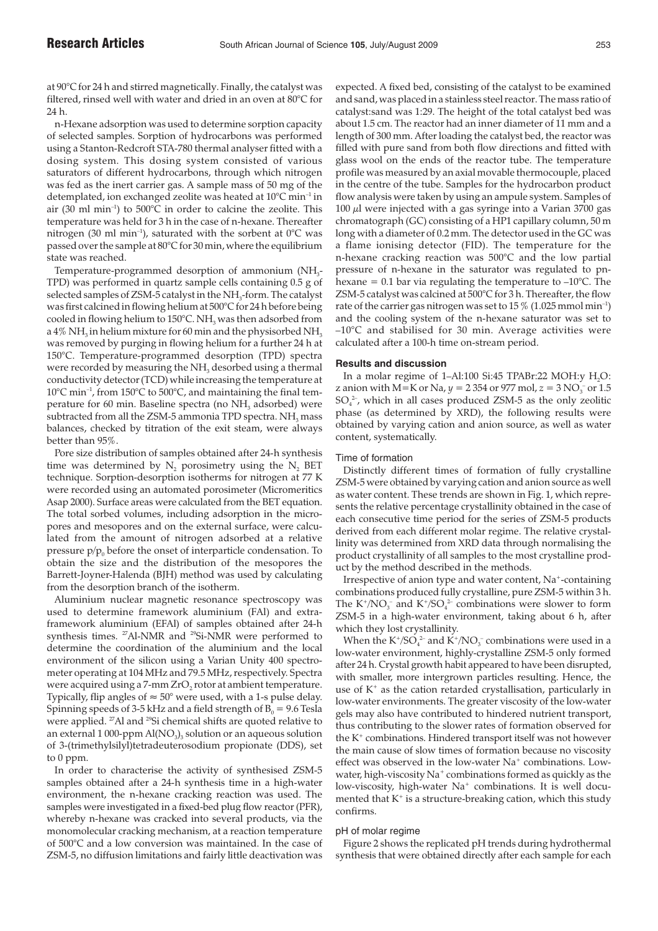at 90°C for 24 h and stirred magnetically. Finally, the catalyst was filtered, rinsed well with water and dried in an oven at 80°C for 24 h.

n-Hexane adsorption was used to determine sorption capacity of selected samples. Sorption of hydrocarbons was performed using a Stanton-Redcroft STA-780 thermal analyser fitted with a dosing system. This dosing system consisted of various saturators of different hydrocarbons, through which nitrogen was fed as the inert carrier gas. A sample mass of 50 mg of the detemplated, ion exchanged zeolite was heated at 10°C min<sup>-1</sup> in air (30 ml min<sup>-1</sup>) to 500°C in order to calcine the zeolite. This temperature was held for 3 h in the case of n-hexane. Thereafter nitrogen (30 ml min<sup>-1</sup>), saturated with the sorbent at  $0^{\circ}$ C was passed over the sample at 80°C for 30 min, where the equilibrium state was reached.

Temperature-programmed desorption of ammonium (NH<sub>2</sub>-TPD) was performed in quartz sample cells containing 0.5 g of selected samples of ZSM-5 catalyst in the NH<sub>3</sub>-form. The catalyst was first calcined in flowing helium at 500°C for 24 h before being cooled in flowing helium to 150°C. NH<sub>3</sub> was then adsorbed from a 4% NH<sub>3</sub> in helium mixture for 60 min and the physisorbed NH<sub>3</sub> was removed by purging in flowing helium for a further 24 h at 150°C. Temperature-programmed desorption (TPD) spectra were recorded by measuring the  $NH<sub>3</sub>$  desorbed using a thermal conductivity detector (TCD) while increasing the temperature at 10°C min–1, from 150°C to 500°C, and maintaining the final temperature for 60 min. Baseline spectra (no NH<sub>3</sub> adsorbed) were subtracted from all the ZSM-5 ammonia TPD spectra. NH<sub>3</sub> mass balances, checked by titration of the exit steam, were always better than 95%.

Pore size distribution of samples obtained after 24-h synthesis time was determined by  $N_2$  porosimetry using the  $N_2$  BET technique. Sorption-desorption isotherms for nitrogen at 77 K were recorded using an automated porosimeter (Micromeritics Asap 2000). Surface areas were calculated from the BET equation. The total sorbed volumes, including adsorption in the micropores and mesopores and on the external surface, were calculated from the amount of nitrogen adsorbed at a relative pressure  $p/p_0$  before the onset of interparticle condensation. To obtain the size and the distribution of the mesopores the Barrett-Joyner-Halenda (BJH) method was used by calculating from the desorption branch of the isotherm.

Aluminium nuclear magnetic resonance spectroscopy was used to determine framework aluminium (FAl) and extraframework aluminium (EFAl) of samples obtained after 24-h synthesis times. <sup>27</sup>Al-NMR and <sup>29</sup>Si-NMR were performed to determine the coordination of the aluminium and the local environment of the silicon using a Varian Unity 400 spectrometer operating at 104 MHz and 79.5 MHz, respectively. Spectra were acquired using a 7-mm ZrO<sub>2</sub> rotor at ambient temperature. Typically, flip angles of  $\approx 50^{\circ}$  were used, with a 1-s pulse delay. Spinning speeds of 3-5 kHz and a field strength of  $B_0 = 9.6$  Tesla were applied. <sup>27</sup>Al and <sup>29</sup>Si chemical shifts are quoted relative to an external 1 000-ppm  $\text{Al}(\text{NO}_3)$ <sub>3</sub> solution or an aqueous solution of 3-(trimethylsilyl)tetradeuterosodium propionate (DDS), set to 0 ppm.

In order to characterise the activity of synthesised ZSM-5 samples obtained after a 24-h synthesis time in a high-water environment, the n-hexane cracking reaction was used. The samples were investigated in a fixed-bed plug flow reactor (PFR), whereby n-hexane was cracked into several products, via the monomolecular cracking mechanism, at a reaction temperature of 500°C and a low conversion was maintained. In the case of ZSM-5, no diffusion limitations and fairly little deactivation was

expected. A fixed bed, consisting of the catalyst to be examined and sand, was placed in a stainless steel reactor. The mass ratio of catalyst:sand was 1:29. The height of the total catalyst bed was about 1.5 cm. The reactor had an inner diameter of 11 mm and a length of 300 mm. After loading the catalyst bed, the reactor was filled with pure sand from both flow directions and fitted with glass wool on the ends of the reactor tube. The temperature profile was measured by an axial movable thermocouple, placed in the centre of the tube. Samples for the hydrocarbon product flow analysis were taken by using an ampule system. Samples of  $100 \mu$ l were injected with a gas syringe into a Varian 3700 gas chromatograph (GC) consisting of a HP1 capillary column, 50 m long with a diameter of 0.2 mm. The detector used in the GC was a flame ionising detector (FID). The temperature for the n-hexane cracking reaction was 500°C and the low partial pressure of n-hexane in the saturator was regulated to pnhexane = 0.1 bar via regulating the temperature to  $-10^{\circ}$ C. The ZSM-5 catalyst was calcined at 500°C for 3 h. Thereafter, the flow rate of the carrier gas nitrogen was set to 15  $\%$  (1.025 mmol min<sup>-1</sup>) and the cooling system of the n-hexane saturator was set to –10°C and stabilised for 30 min. Average activities were calculated after a 100-h time on-stream period.

### **Results and discussion**

In a molar regime of  $1-Al:100$  Si:45 TPABr:22 MOH:y H<sub>2</sub>O: z anion with M=K or Na,  $y = 2354$  or 977 mol,  $z = 3 \text{ NO}_3^-$  or 1.5  $\text{SO}_4^2$ , which in all cases produced ZSM-5 as the only zeolitic phase (as determined by XRD), the following results were obtained by varying cation and anion source, as well as water content, systematically.

#### Time of formation

Distinctly different times of formation of fully crystalline ZSM-5 were obtained by varying cation and anion source as well as water content. These trends are shown in Fig. 1, which represents the relative percentage crystallinity obtained in the case of each consecutive time period for the series of ZSM-5 products derived from each different molar regime. The relative crystallinity was determined from XRD data through normalising the product crystallinity of all samples to the most crystalline product by the method described in the methods.

Irrespective of anion type and water content, Na<sup>+</sup>-containing combinations produced fully crystalline, pure ZSM-5 within 3 h. The  $K^{\dagger}/NO_3^-$  and  $K^{\dagger}/SO_4^2$  combinations were slower to form ZSM-5 in a high-water environment, taking about 6 h, after which they lost crystallinity.

When the  $K^{\ast}/SO_{4}^{\ 2}$  and  $K^{\ast}/NO_{3}^{-}$  combinations were used in a low-water environment, highly-crystalline ZSM-5 only formed after 24 h. Crystal growth habit appeared to have been disrupted, with smaller, more intergrown particles resulting. Hence, the use of  $K^+$  as the cation retarded crystallisation, particularly in low-water environments. The greater viscosity of the low-water gels may also have contributed to hindered nutrient transport, thus contributing to the slower rates of formation observed for the  $K^+$  combinations. Hindered transport itself was not however the main cause of slow times of formation because no viscosity effect was observed in the low-water Na<sup>+</sup> combinations. Lowwater, high-viscosity  $Na<sup>+</sup>$  combinations formed as quickly as the low-viscosity, high-water Na<sup>+</sup> combinations. It is well documented that  $K^+$  is a structure-breaking cation, which this study confirms.

#### pH of molar regime

Figure 2 shows the replicated pH trends during hydrothermal synthesis that were obtained directly after each sample for each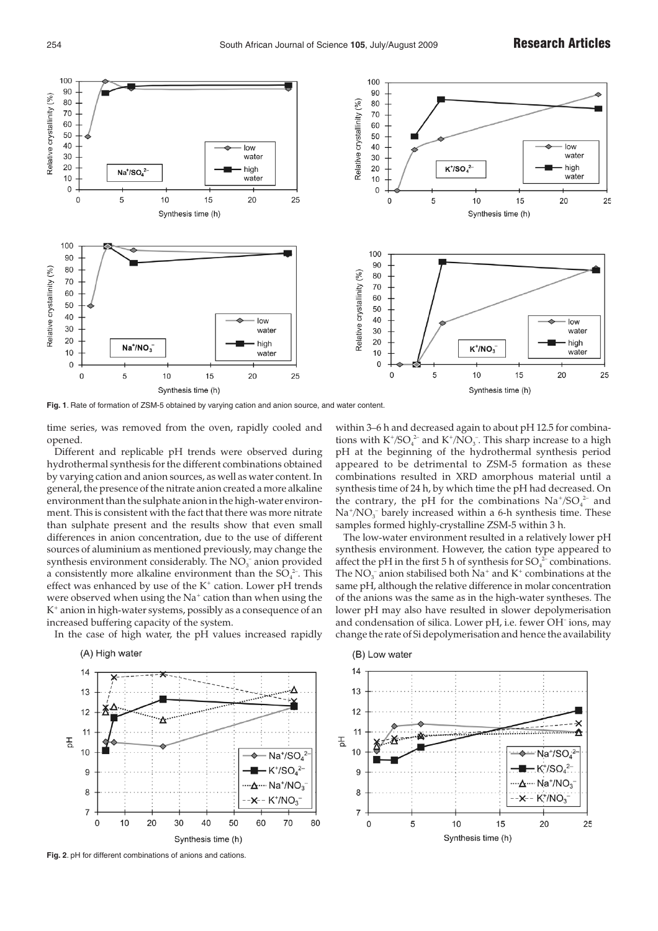

**Fig. 1**. Rate of formation of ZSM-5 obtained by varying cation and anion source, and water content.

time series, was removed from the oven, rapidly cooled and opened.

Different and replicable pH trends were observed during hydrothermal synthesis for the different combinations obtained by varying cation and anion sources, as well as water content. In general, the presence of the nitrate anion created a more alkaline environment than the sulphate anion in the high-water environment. This is consistent with the fact that there was more nitrate than sulphate present and the results show that even small differences in anion concentration, due to the use of different sources of aluminium as mentioned previously, may change the synthesis environment considerably. The  $NO<sub>3</sub><sup>-</sup>$  anion provided a consistently more alkaline environment than the  $SO_4^2$ . This effect was enhanced by use of the  $K^+$  cation. Lower pH trends were observed when using the Na<sup>+</sup> cation than when using the K+ anion in high-water systems, possibly as a consequence of an increased buffering capacity of the system. In the case of high water, the pH values increased rapidly

within 3–6 h and decreased again to about pH 12.5 for combinations with  $K^{\ast}/SO_{4}^{\ 2}$  and  $K^{\ast}/NO_{3}^{\ -}$ . This sharp increase to a high pH at the beginning of the hydrothermal synthesis period appeared to be detrimental to ZSM-5 formation as these combinations resulted in XRD amorphous material until a synthesis time of 24 h, by which time the pH had decreased. On the contrary, the pH for the combinations  $\mathrm{Na^+/SO_4^{2-}}$  and  $Na^{\ast}/NO_{3}^{-}$  barely increased within a 6-h synthesis time. These samples formed highly-crystalline ZSM-5 within 3 h.

The low-water environment resulted in a relatively lower pH synthesis environment. However, the cation type appeared to affect the pH in the first 5 h of synthesis for  $\mathrm{SO}_4^2$  combinations. The  $NO_3^-$  anion stabilised both  $Na^+$  and  $K^+$  combinations at the same pH, although the relative difference in molar concentration of the anions was the same as in the high-water syntheses. The lower pH may also have resulted in slower depolymerisation and condensation of silica. Lower pH, i.e. fewer OH– ions, may change the rate of Si depolymerisation and hence the availability



-**x**-- K<sup>+</sup>/NO<sub>2</sub>

70

60

80

(A) High water

7

 $\Omega$ 

 $10$ 



**Fig. 2**. pH for different combinations of anions and cations.

20

30

 $40$ 

Synthesis time (h)

 $50$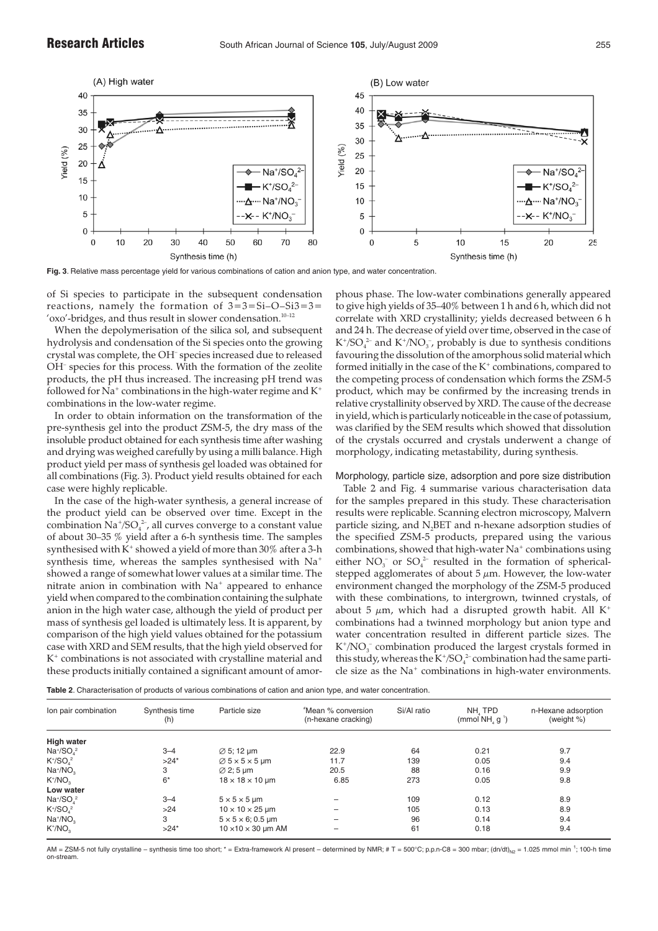

**Fig. 3**. Relative mass percentage yield for various combinations of cation and anion type, and water concentration.

of Si species to participate in the subsequent condensation reactions, namely the formation of  $3=3=Si-O-Si3=3=$ 'oxo'-bridges, and thus result in slower condensation.<sup>10-12</sup>

When the depolymerisation of the silica sol, and subsequent hydrolysis and condensation of the Si species onto the growing crystal was complete, the OH– species increased due to released OH– species for this process. With the formation of the zeolite products, the pH thus increased. The increasing pH trend was followed for Na<sup>+</sup> combinations in the high-water regime and  $K^+$ combinations in the low-water regime.

In order to obtain information on the transformation of the pre-synthesis gel into the product ZSM-5, the dry mass of the insoluble product obtained for each synthesis time after washing and drying was weighed carefully by using a milli balance. High product yield per mass of synthesis gel loaded was obtained for all combinations (Fig. 3). Product yield results obtained for each case were highly replicable.

In the case of the high-water synthesis, a general increase of the product yield can be observed over time. Except in the combination  $\mathrm{Na^+/SO_4^{\;2^-}}$ , all curves converge to a constant value of about 30–35 % yield after a 6-h synthesis time. The samples synthesised with  $K^+$  showed a yield of more than 30% after a 3-h synthesis time, whereas the samples synthesised with Na<sup>+</sup> showed a range of somewhat lower values at a similar time. The nitrate anion in combination with  $Na<sup>+</sup>$  appeared to enhance yield when compared to the combination containing the sulphate anion in the high water case, although the yield of product per mass of synthesis gel loaded is ultimately less. It is apparent, by comparison of the high yield values obtained for the potassium case with XRD and SEM results, that the high yield observed for K+ combinations is not associated with crystalline material and these products initially contained a significant amount of amorphous phase. The low-water combinations generally appeared to give high yields of 35–40% between 1 h and 6 h, which did not correlate with XRD crystallinity; yields decreased between 6 h and 24 h. The decrease of yield over time, observed in the case of  $K^{\dagger}/SO_4^{\,2-}$  and  $K^{\dagger}/NO_3^-$ , probably is due to synthesis conditions favouring the dissolution of the amorphous solid material which formed initially in the case of the  $K^+$  combinations, compared to the competing process of condensation which forms the ZSM-5 product, which may be confirmed by the increasing trends in relative crystallinity observed by XRD. The cause of the decrease in yield, which is particularly noticeable in the case of potassium, was clarified by the SEM results which showed that dissolution of the crystals occurred and crystals underwent a change of morphology, indicating metastability, during synthesis.

# Morphology, particle size, adsorption and pore size distribution

Table 2 and Fig. 4 summarise various characterisation data for the samples prepared in this study. These characterisation results were replicable. Scanning electron microscopy, Malvern particle sizing, and N<sub>2</sub>BET and n-hexane adsorption studies of the specified ZSM-5 products, prepared using the various combinations, showed that high-water  $Na<sup>+</sup>$  combinations using either  $NO_3^-$  or  $SO_4^2$  resulted in the formation of sphericalstepped agglomerates of about  $5 \mu m$ . However, the low-water environment changed the morphology of the ZSM-5 produced with these combinations, to intergrown, twinned crystals, of about 5  $\mu$ m, which had a disrupted growth habit. All K<sup>+</sup> combinations had a twinned morphology but anion type and water concentration resulted in different particle sizes. The  $K^{\dagger}/NO_3^-$  combination produced the largest crystals formed in this study, whereas the K<sup>+</sup>/SO $_4^{2-}$  combination had the same particle size as the Na<sup>+</sup> combinations in high-water environments.

**Table 2**. Characterisation of products of various combinations of cation and anion type, and water concentration.

| Ion pair combination                                     | Synthesis time<br>(h) | Particle size                                 | "Mean % conversion<br>(n-hexane cracking) | Si/Al ratio | NH, TPD<br>(mmol $NHa$ g <sup>1</sup> ) | n-Hexane adsorption<br>(weight %) |
|----------------------------------------------------------|-----------------------|-----------------------------------------------|-------------------------------------------|-------------|-----------------------------------------|-----------------------------------|
| High water                                               |                       |                                               |                                           |             |                                         |                                   |
| $Na^{+/SO4}$                                             | $3 - 4$               | $\varnothing$ 5; 12 µm                        | 22.9                                      | 64          | 0.21                                    | 9.7                               |
| $K^{\dagger}/SO^2$                                       | $>24*$                | $\varnothing$ 5 $\times$ 5 $\times$ 5 $\mu$ m | 11.7                                      | 139         | 0.05                                    | 9.4                               |
| $Na^{+}/NO_{3}$                                          | 3                     | $\varnothing$ 2; 5 µm                         | 20.5                                      | 88          | 0.16                                    | 9.9                               |
| $K^+/NO_3$                                               | $6*$                  | $18 \times 18 \times 10$ µm                   | 6.85                                      | 273         | 0.05                                    | 9.8                               |
| Low water                                                |                       |                                               |                                           |             |                                         |                                   |
| $Na^{4}/SO^{2}$                                          | $3 - 4$               | $5 \times 5 \times 5$ µm                      | $\overline{\phantom{0}}$                  | 109         | 0.12                                    | 8.9                               |
| $K^{\scriptscriptstyle +}/SO_{\scriptscriptstyle A}{}^2$ | >24                   | $10 \times 10 \times 25$ µm                   | $\overline{\phantom{0}}$                  | 105         | 0.13                                    | 8.9                               |
| $Na^{+}/NO_{3}$                                          | 3                     | $5 \times 5 \times 6$ ; 0.5 µm                | $\overline{\phantom{m}}$                  | 96          | 0.14                                    | 9.4                               |
| $K^{\dagger}/NO_{2}$                                     | $>24*$                | $10 \times 10 \times 30$ µm AM                | $\overline{\phantom{0}}$                  | 61          | 0.18                                    | 9.4                               |

AM = ZSM-5 not fully crystalline – synthesis time too short; \* = Extra-framework Al present – determined by NMR; # T = 500°C; p.p.n-C8 = 300 mbar; (dn/dt)<sub>N2</sub> = 1.025 mmol min<sup>-1</sup>; 100-h time on-stream.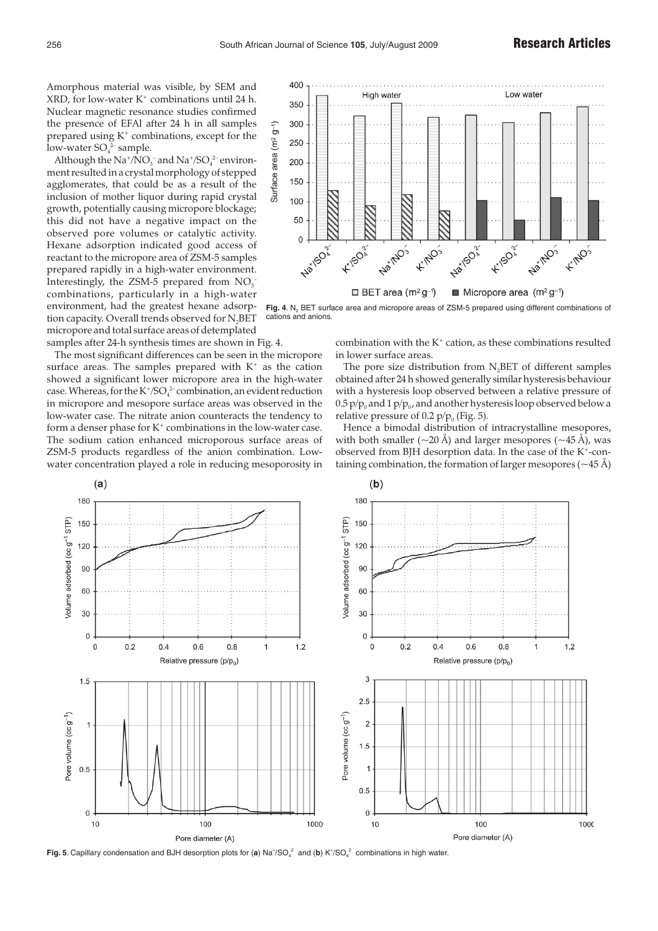Amorphous material was visible, by SEM and XRD, for low-water  $K^+$  combinations until 24 h. Nuclear magnetic resonance studies confirmed the presence of EFAl after 24 h in all samples prepared using  $K^+$  combinations, except for the low-water  $\mathsf{SO}_4^2$  sample.

Although the  $\rm Na^+ / NO_3^-$  and  $\rm Na^+ / SO_4^{2-}$  environment resulted in a crystal morphology of stepped agglomerates, that could be as a result of the inclusion of mother liquor during rapid crystal growth, potentially causing micropore blockage; this did not have a negative impact on the observed pore volumes or catalytic activity. Hexane adsorption indicated good access of reactant to the micropore area of ZSM-5 samples prepared rapidly in a high-water environment. Interestingly, the ZSM-5 prepared from  $NO<sub>3</sub>$ combinations, particularly in a high-water environment, had the greatest hexane adsorption capacity. Overall trends observed for N<sub>2</sub>BET micropore and total surface areas of detemplated samples after 24-h synthesis times are shown in Fig. 4.

The most significant differences can be seen in the micropore surface areas. The samples prepared with  $K^+$  as the cation showed a significant lower micropore area in the high-water case. Whereas, for the  $K^{\ast}/SO_{4}^{\ 2}$  combination, an evident reduction in micropore and mesopore surface areas was observed in the low-water case. The nitrate anion counteracts the tendency to form a denser phase for  $K^+$  combinations in the low-water case. The sodium cation enhanced microporous surface areas of ZSM-5 products regardless of the anion combination. Lowwater concentration played a role in reducing mesoporosity in



Fig. 4. N<sub>2</sub> BET surface area and micropore areas of ZSM-5 prepared using different combinations of cations and anions.

combination with the  $K^+$  cation, as these combinations resulted in lower surface areas.

The pore size distribution from  $N<sub>2</sub>BET$  of different samples obtained after 24 h showed generally similar hysteresis behaviour with a hysteresis loop observed between a relative pressure of 0.5  $p/p_0$  and 1  $p/p_0$ , and another hysteresis loop observed below a relative pressure of 0.2  $p/p<sub>0</sub>$  (Fig. 5).

Hence a bimodal distribution of intracrystalline mesopores, with both smaller ( $\sim$ 20 Å) and larger mesopores ( $\sim$ 45 Å), was observed from BJH desorption data. In the case of the  $K^+$ -containing combination, the formation of larger mesopores ( $\sim$ 45 Å)



**Fig. 5**. Capillary condensation and BJH desorption plots for (a)  $\text{Na}^+\text{SO}_4{}^2$  and (b) K $^+\text{/SO}_4{}^2$  combinations in high water.